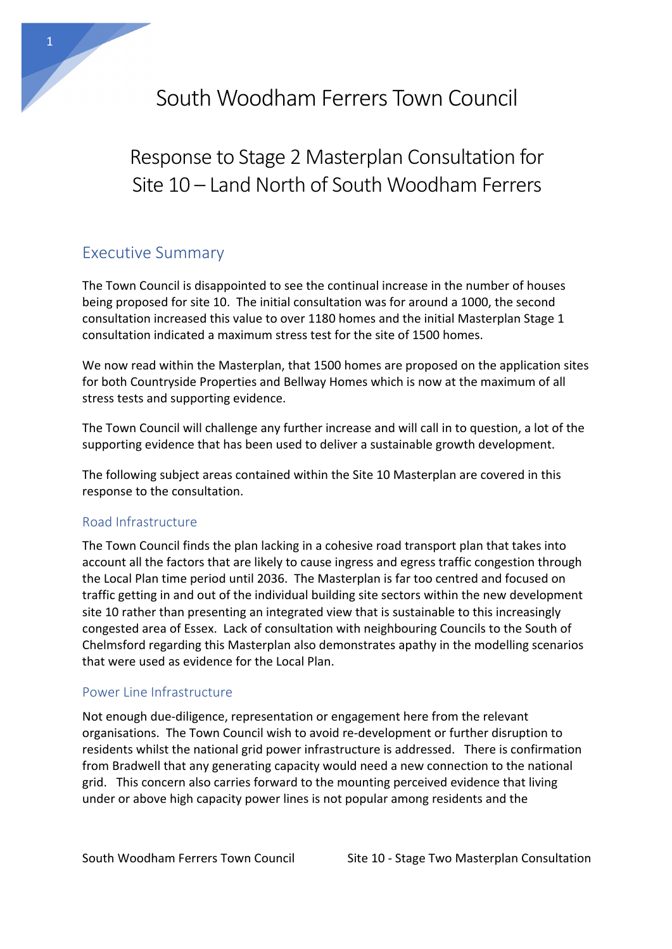# South Woodham Ferrers Town Council

# Response to Stage 2 Masterplan Consultation for Site 10 – Land North of South Woodham Ferrers

# Executive Summary

1

The Town Council is disappointed to see the continual increase in the number of houses being proposed for site 10. The initial consultation was for around a 1000, the second consultation increased this value to over 1180 homes and the initial Masterplan Stage 1 consultation indicated a maximum stress test for the site of 1500 homes.

We now read within the Masterplan, that 1500 homes are proposed on the application sites for both Countryside Properties and Bellway Homes which is now at the maximum of all stress tests and supporting evidence.

The Town Council will challenge any further increase and will call in to question, a lot of the supporting evidence that has been used to deliver a sustainable growth development.

The following subject areas contained within the Site 10 Masterplan are covered in this response to the consultation.

## Road Infrastructure

The Town Council finds the plan lacking in a cohesive road transport plan that takes into account all the factors that are likely to cause ingress and egress traffic congestion through the Local Plan time period until 2036. The Masterplan is far too centred and focused on traffic getting in and out of the individual building site sectors within the new development site 10 rather than presenting an integrated view that is sustainable to this increasingly congested area of Essex. Lack of consultation with neighbouring Councils to the South of Chelmsford regarding this Masterplan also demonstrates apathy in the modelling scenarios that were used as evidence for the Local Plan.

## Power Line Infrastructure

Not enough due-diligence, representation or engagement here from the relevant organisations. The Town Council wish to avoid re-development or further disruption to residents whilst the national grid power infrastructure is addressed. There is confirmation from Bradwell that any generating capacity would need a new connection to the national grid. This concern also carries forward to the mounting perceived evidence that living under or above high capacity power lines is not popular among residents and the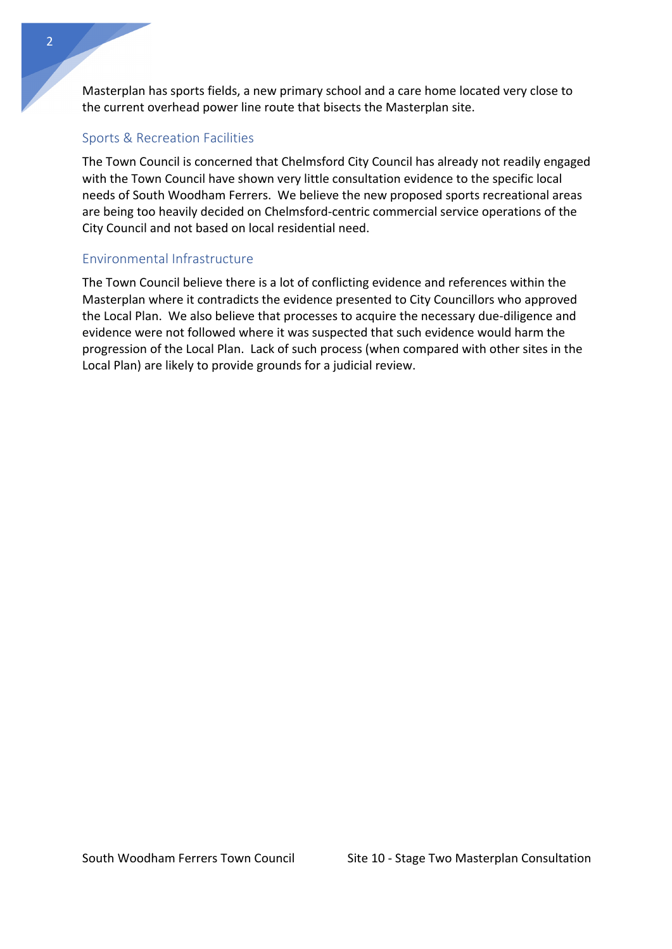Masterplan has sports fields, a new primary school and a care home located very close to the current overhead power line route that bisects the Masterplan site.

### Sports & Recreation Facilities

The Town Council is concerned that Chelmsford City Council has already not readily engaged with the Town Council have shown very little consultation evidence to the specific local needs of South Woodham Ferrers. We believe the new proposed sports recreational areas are being too heavily decided on Chelmsford-centric commercial service operations of the City Council and not based on local residential need.

### Environmental Infrastructure

The Town Council believe there is a lot of conflicting evidence and references within the Masterplan where it contradicts the evidence presented to City Councillors who approved the Local Plan. We also believe that processes to acquire the necessary due-diligence and evidence were not followed where it was suspected that such evidence would harm the progression of the Local Plan. Lack of such process (when compared with other sites in the Local Plan) are likely to provide grounds for a judicial review.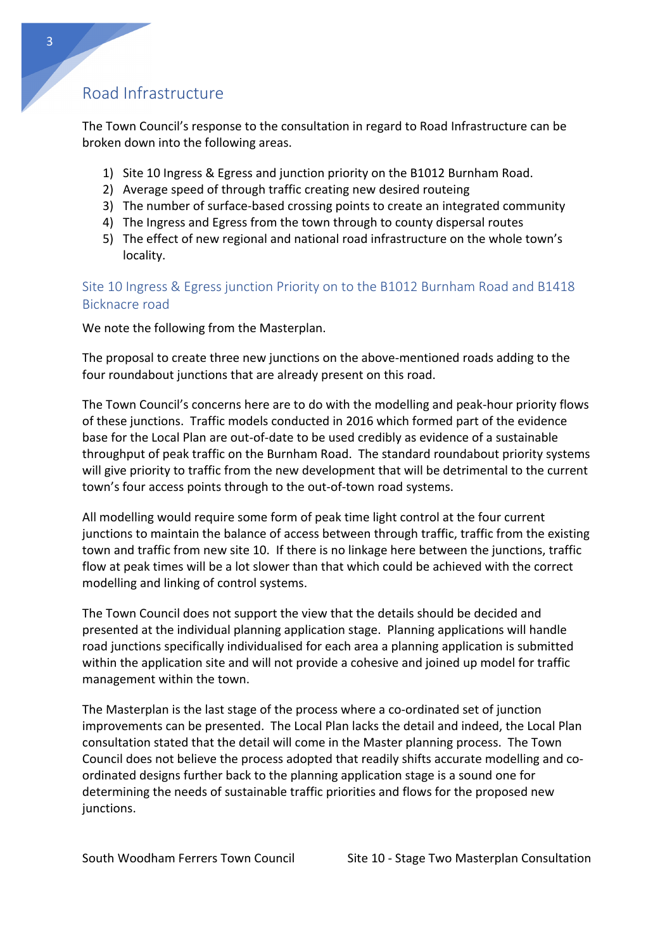# Road Infrastructure

The Town Council's response to the consultation in regard to Road Infrastructure can be broken down into the following areas.

- 1) Site 10 Ingress & Egress and junction priority on the B1012 Burnham Road.
- 2) Average speed of through traffic creating new desired routeing
- 3) The number of surface-based crossing points to create an integrated community
- 4) The Ingress and Egress from the town through to county dispersal routes
- 5) The effect of new regional and national road infrastructure on the whole town's locality.

Site 10 Ingress & Egress junction Priority on to the B1012 Burnham Road and B1418 Bicknacre road

We note the following from the Masterplan.

The proposal to create three new junctions on the above-mentioned roads adding to the four roundabout junctions that are already present on this road.

The Town Council's concerns here are to do with the modelling and peak-hour priority flows of these junctions. Traffic models conducted in 2016 which formed part of the evidence base for the Local Plan are out-of-date to be used credibly as evidence of a sustainable throughput of peak traffic on the Burnham Road. The standard roundabout priority systems will give priority to traffic from the new development that will be detrimental to the current town's four access points through to the out-of-town road systems.

All modelling would require some form of peak time light control at the four current junctions to maintain the balance of access between through traffic, traffic from the existing town and traffic from new site 10. If there is no linkage here between the junctions, traffic flow at peak times will be a lot slower than that which could be achieved with the correct modelling and linking of control systems.

The Town Council does not support the view that the details should be decided and presented at the individual planning application stage. Planning applications will handle road junctions specifically individualised for each area a planning application is submitted within the application site and will not provide a cohesive and joined up model for traffic management within the town.

The Masterplan is the last stage of the process where a co-ordinated set of junction improvements can be presented. The Local Plan lacks the detail and indeed, the Local Plan consultation stated that the detail will come in the Master planning process. The Town Council does not believe the process adopted that readily shifts accurate modelling and coordinated designs further back to the planning application stage is a sound one for determining the needs of sustainable traffic priorities and flows for the proposed new junctions.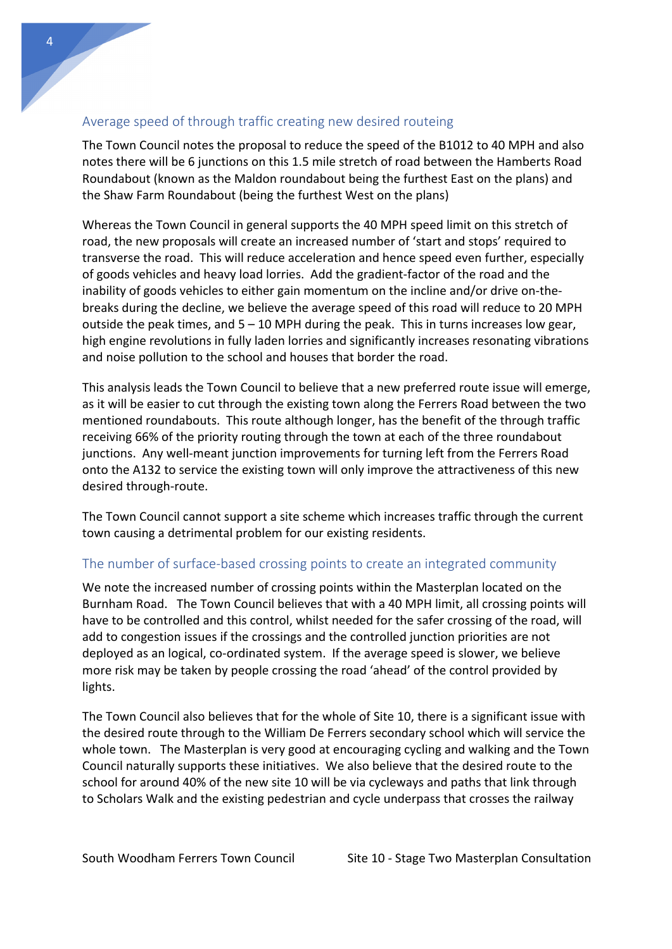## Average speed of through traffic creating new desired routeing

The Town Council notes the proposal to reduce the speed of the B1012 to 40 MPH and also notes there will be 6 junctions on this 1.5 mile stretch of road between the Hamberts Road Roundabout (known as the Maldon roundabout being the furthest East on the plans) and the Shaw Farm Roundabout (being the furthest West on the plans)

Whereas the Town Council in general supports the 40 MPH speed limit on this stretch of road, the new proposals will create an increased number of 'start and stops' required to transverse the road. This will reduce acceleration and hence speed even further, especially of goods vehicles and heavy load lorries. Add the gradient-factor of the road and the inability of goods vehicles to either gain momentum on the incline and/or drive on-thebreaks during the decline, we believe the average speed of this road will reduce to 20 MPH outside the peak times, and  $5 - 10$  MPH during the peak. This in turns increases low gear, high engine revolutions in fully laden lorries and significantly increases resonating vibrations and noise pollution to the school and houses that border the road.

This analysis leads the Town Council to believe that a new preferred route issue will emerge, as it will be easier to cut through the existing town along the Ferrers Road between the two mentioned roundabouts. This route although longer, has the benefit of the through traffic receiving 66% of the priority routing through the town at each of the three roundabout junctions. Any well-meant junction improvements for turning left from the Ferrers Road onto the A132 to service the existing town will only improve the attractiveness of this new desired through-route.

The Town Council cannot support a site scheme which increases traffic through the current town causing a detrimental problem for our existing residents.

### The number of surface-based crossing points to create an integrated community

We note the increased number of crossing points within the Masterplan located on the Burnham Road. The Town Council believes that with a 40 MPH limit, all crossing points will have to be controlled and this control, whilst needed for the safer crossing of the road, will add to congestion issues if the crossings and the controlled junction priorities are not deployed as an logical, co-ordinated system. If the average speed is slower, we believe more risk may be taken by people crossing the road 'ahead' of the control provided by lights.

The Town Council also believes that for the whole of Site 10, there is a significant issue with the desired route through to the William De Ferrers secondary school which will service the whole town. The Masterplan is very good at encouraging cycling and walking and the Town Council naturally supports these initiatives. We also believe that the desired route to the school for around 40% of the new site 10 will be via cycleways and paths that link through to Scholars Walk and the existing pedestrian and cycle underpass that crosses the railway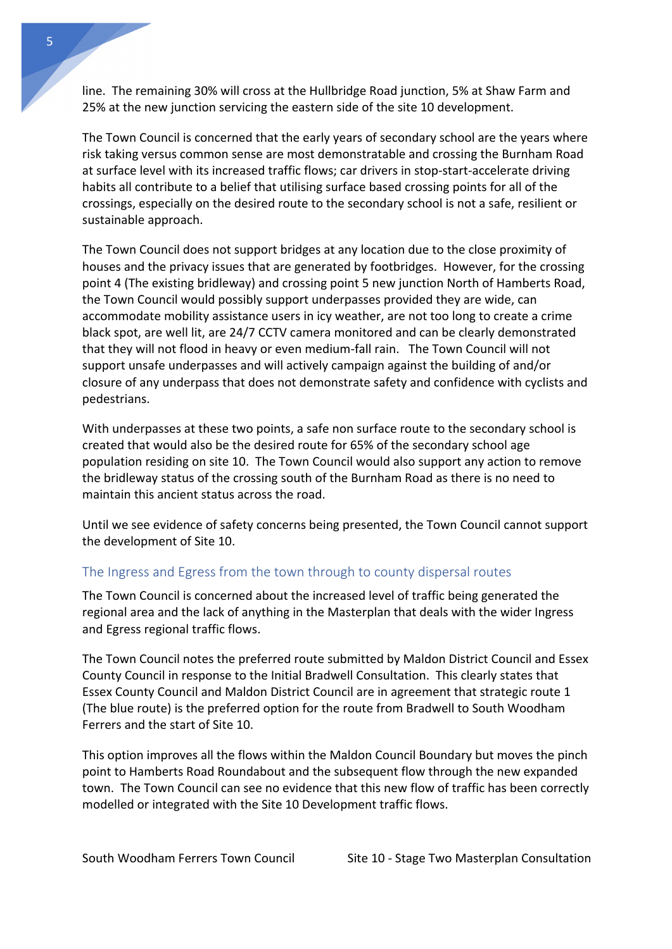line. The remaining 30% will cross at the Hullbridge Road junction, 5% at Shaw Farm and 25% at the new junction servicing the eastern side of the site 10 development.

The Town Council is concerned that the early years of secondary school are the years where risk taking versus common sense are most demonstratable and crossing the Burnham Road at surface level with its increased traffic flows; car drivers in stop-start-accelerate driving habits all contribute to a belief that utilising surface based crossing points for all of the crossings, especially on the desired route to the secondary school is not a safe, resilient or sustainable approach.

The Town Council does not support bridges at any location due to the close proximity of houses and the privacy issues that are generated by footbridges. However, for the crossing point 4 (The existing bridleway) and crossing point 5 new junction North of Hamberts Road, the Town Council would possibly support underpasses provided they are wide, can accommodate mobility assistance users in icy weather, are not too long to create a crime black spot, are well lit, are 24/7 CCTV camera monitored and can be clearly demonstrated that they will not flood in heavy or even medium-fall rain. The Town Council will not support unsafe underpasses and will actively campaign against the building of and/or closure of any underpass that does not demonstrate safety and confidence with cyclists and pedestrians.

With underpasses at these two points, a safe non surface route to the secondary school is created that would also be the desired route for 65% of the secondary school age population residing on site 10. The Town Council would also support any action to remove the bridleway status of the crossing south of the Burnham Road as there is no need to maintain this ancient status across the road.

Until we see evidence of safety concerns being presented, the Town Council cannot support the development of Site 10.

## The Ingress and Egress from the town through to county dispersal routes

The Town Council is concerned about the increased level of traffic being generated the regional area and the lack of anything in the Masterplan that deals with the wider Ingress and Egress regional traffic flows.

The Town Council notes the preferred route submitted by Maldon District Council and Essex County Council in response to the Initial Bradwell Consultation. This clearly states that Essex County Council and Maldon District Council are in agreement that strategic route 1 (The blue route) is the preferred option for the route from Bradwell to South Woodham Ferrers and the start of Site 10.

This option improves all the flows within the Maldon Council Boundary but moves the pinch point to Hamberts Road Roundabout and the subsequent flow through the new expanded town. The Town Council can see no evidence that this new flow of traffic has been correctly modelled or integrated with the Site 10 Development traffic flows.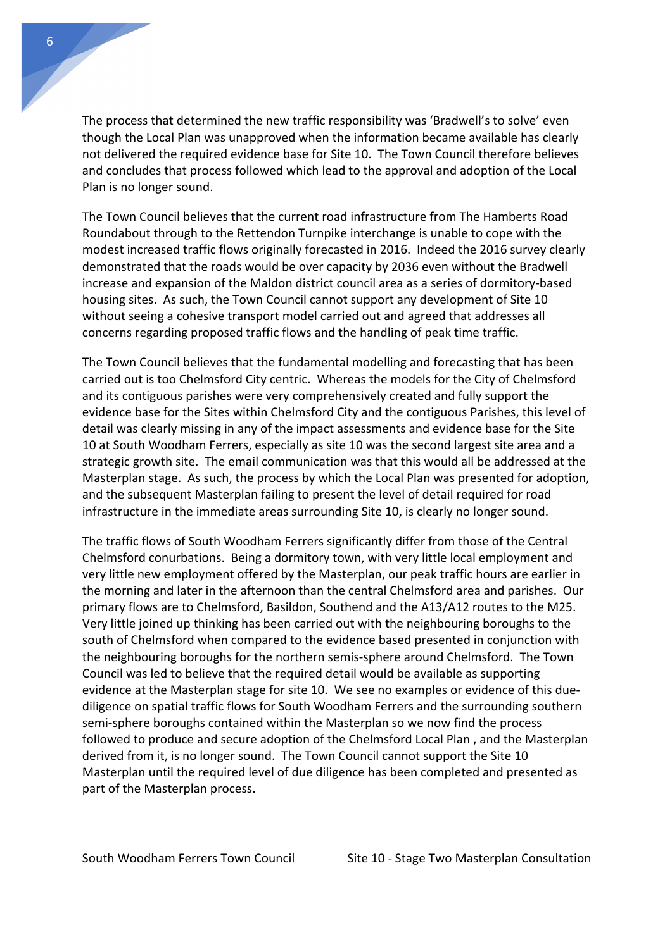The process that determined the new traffic responsibility was 'Bradwell's to solve' even though the Local Plan was unapproved when the information became available has clearly not delivered the required evidence base for Site 10. The Town Council therefore believes and concludes that process followed which lead to the approval and adoption of the Local Plan is no longer sound.

The Town Council believes that the current road infrastructure from The Hamberts Road Roundabout through to the Rettendon Turnpike interchange is unable to cope with the modest increased traffic flows originally forecasted in 2016. Indeed the 2016 survey clearly demonstrated that the roads would be over capacity by 2036 even without the Bradwell increase and expansion of the Maldon district council area as a series of dormitory-based housing sites. As such, the Town Council cannot support any development of Site 10 without seeing a cohesive transport model carried out and agreed that addresses all concerns regarding proposed traffic flows and the handling of peak time traffic.

The Town Council believes that the fundamental modelling and forecasting that has been carried out is too Chelmsford City centric. Whereas the models for the City of Chelmsford and its contiguous parishes were very comprehensively created and fully support the evidence base for the Sites within Chelmsford City and the contiguous Parishes, this level of detail was clearly missing in any of the impact assessments and evidence base for the Site 10 at South Woodham Ferrers, especially as site 10 was the second largest site area and a strategic growth site. The email communication was that this would all be addressed at the Masterplan stage. As such, the process by which the Local Plan was presented for adoption, and the subsequent Masterplan failing to present the level of detail required for road infrastructure in the immediate areas surrounding Site 10, is clearly no longer sound.

The traffic flows of South Woodham Ferrers significantly differ from those of the Central Chelmsford conurbations. Being a dormitory town, with very little local employment and very little new employment offered by the Masterplan, our peak traffic hours are earlier in the morning and later in the afternoon than the central Chelmsford area and parishes. Our primary flows are to Chelmsford, Basildon, Southend and the A13/A12 routes to the M25. Very little joined up thinking has been carried out with the neighbouring boroughs to the south of Chelmsford when compared to the evidence based presented in conjunction with the neighbouring boroughs for the northern semis-sphere around Chelmsford. The Town Council was led to believe that the required detail would be available as supporting evidence at the Masterplan stage for site 10. We see no examples or evidence of this duediligence on spatial traffic flows for South Woodham Ferrers and the surrounding southern semi-sphere boroughs contained within the Masterplan so we now find the process followed to produce and secure adoption of the Chelmsford Local Plan , and the Masterplan derived from it, is no longer sound. The Town Council cannot support the Site 10 Masterplan until the required level of due diligence has been completed and presented as part of the Masterplan process.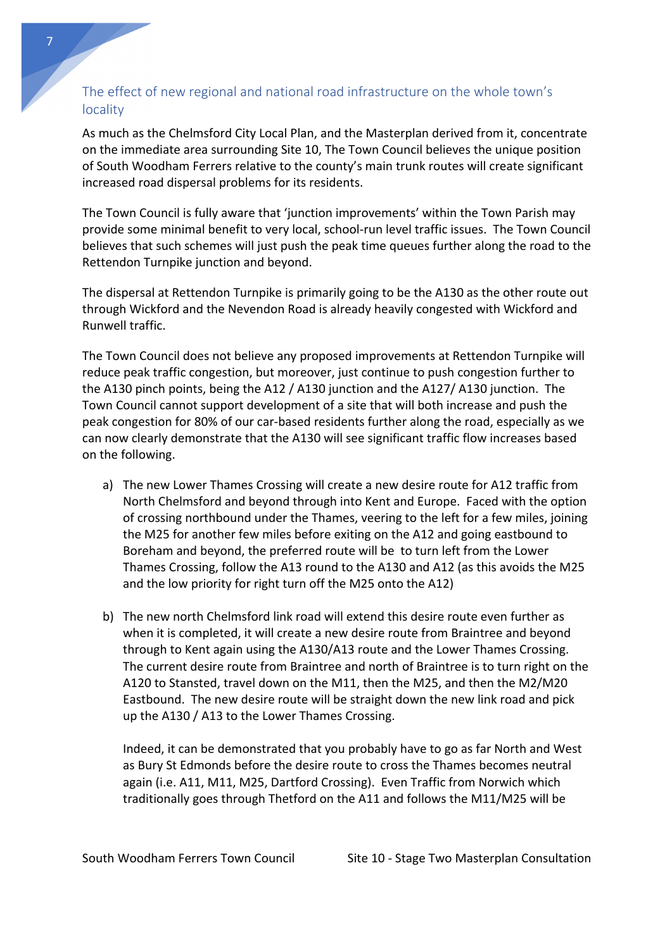## The effect of new regional and national road infrastructure on the whole town's locality

As much as the Chelmsford City Local Plan, and the Masterplan derived from it, concentrate on the immediate area surrounding Site 10, The Town Council believes the unique position of South Woodham Ferrers relative to the county's main trunk routes will create significant increased road dispersal problems for its residents.

The Town Council is fully aware that 'junction improvements' within the Town Parish may provide some minimal benefit to very local, school-run level traffic issues. The Town Council believes that such schemes will just push the peak time queues further along the road to the Rettendon Turnpike junction and beyond.

The dispersal at Rettendon Turnpike is primarily going to be the A130 as the other route out through Wickford and the Nevendon Road is already heavily congested with Wickford and Runwell traffic.

The Town Council does not believe any proposed improvements at Rettendon Turnpike will reduce peak traffic congestion, but moreover, just continue to push congestion further to the A130 pinch points, being the A12 / A130 junction and the A127/ A130 junction. The Town Council cannot support development of a site that will both increase and push the peak congestion for 80% of our car-based residents further along the road, especially as we can now clearly demonstrate that the A130 will see significant traffic flow increases based on the following.

- a) The new Lower Thames Crossing will create a new desire route for A12 traffic from North Chelmsford and beyond through into Kent and Europe. Faced with the option of crossing northbound under the Thames, veering to the left for a few miles, joining the M25 for another few miles before exiting on the A12 and going eastbound to Boreham and beyond, the preferred route will be to turn left from the Lower Thames Crossing, follow the A13 round to the A130 and A12 (as this avoids the M25 and the low priority for right turn off the M25 onto the A12)
- b) The new north Chelmsford link road will extend this desire route even further as when it is completed, it will create a new desire route from Braintree and beyond through to Kent again using the A130/A13 route and the Lower Thames Crossing. The current desire route from Braintree and north of Braintree is to turn right on the A120 to Stansted, travel down on the M11, then the M25, and then the M2/M20 Eastbound. The new desire route will be straight down the new link road and pick up the A130 / A13 to the Lower Thames Crossing.

Indeed, it can be demonstrated that you probably have to go as far North and West as Bury St Edmonds before the desire route to cross the Thames becomes neutral again (i.e. A11, M11, M25, Dartford Crossing). Even Traffic from Norwich which traditionally goes through Thetford on the A11 and follows the M11/M25 will be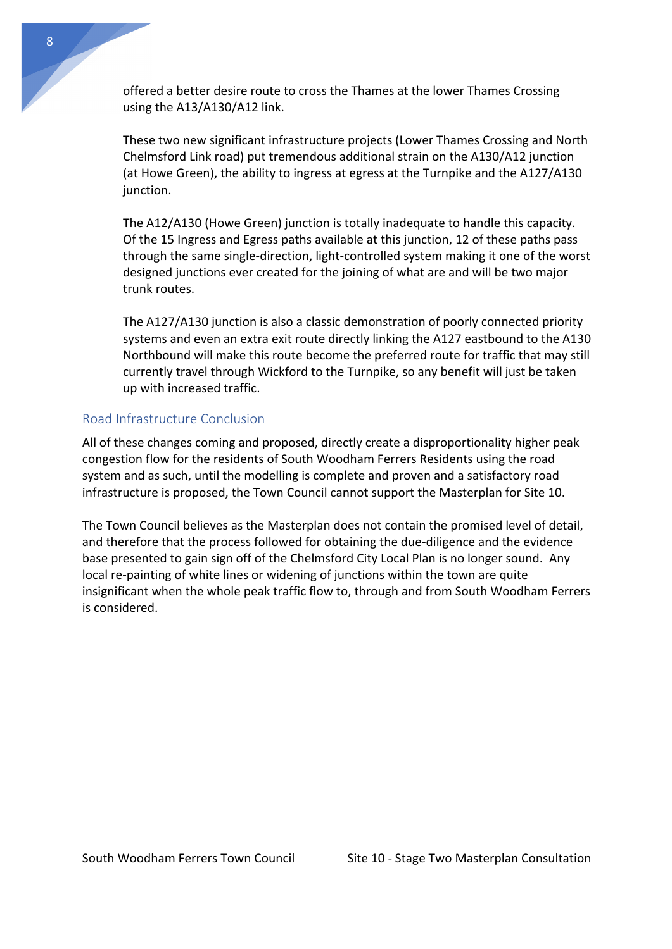offered a better desire route to cross the Thames at the lower Thames Crossing using the A13/A130/A12 link.

These two new significant infrastructure projects (Lower Thames Crossing and North Chelmsford Link road) put tremendous additional strain on the A130/A12 junction (at Howe Green), the ability to ingress at egress at the Turnpike and the A127/A130 junction.

The A12/A130 (Howe Green) junction is totally inadequate to handle this capacity. Of the 15 Ingress and Egress paths available at this junction, 12 of these paths pass through the same single-direction, light-controlled system making it one of the worst designed junctions ever created for the joining of what are and will be two major trunk routes.

The A127/A130 junction is also a classic demonstration of poorly connected priority systems and even an extra exit route directly linking the A127 eastbound to the A130 Northbound will make this route become the preferred route for traffic that may still currently travel through Wickford to the Turnpike, so any benefit will just be taken up with increased traffic.

## Road Infrastructure Conclusion

All of these changes coming and proposed, directly create a disproportionality higher peak congestion flow for the residents of South Woodham Ferrers Residents using the road system and as such, until the modelling is complete and proven and a satisfactory road infrastructure is proposed, the Town Council cannot support the Masterplan for Site 10.

The Town Council believes as the Masterplan does not contain the promised level of detail, and therefore that the process followed for obtaining the due-diligence and the evidence base presented to gain sign off of the Chelmsford City Local Plan is no longer sound. Any local re-painting of white lines or widening of junctions within the town are quite insignificant when the whole peak traffic flow to, through and from South Woodham Ferrers is considered.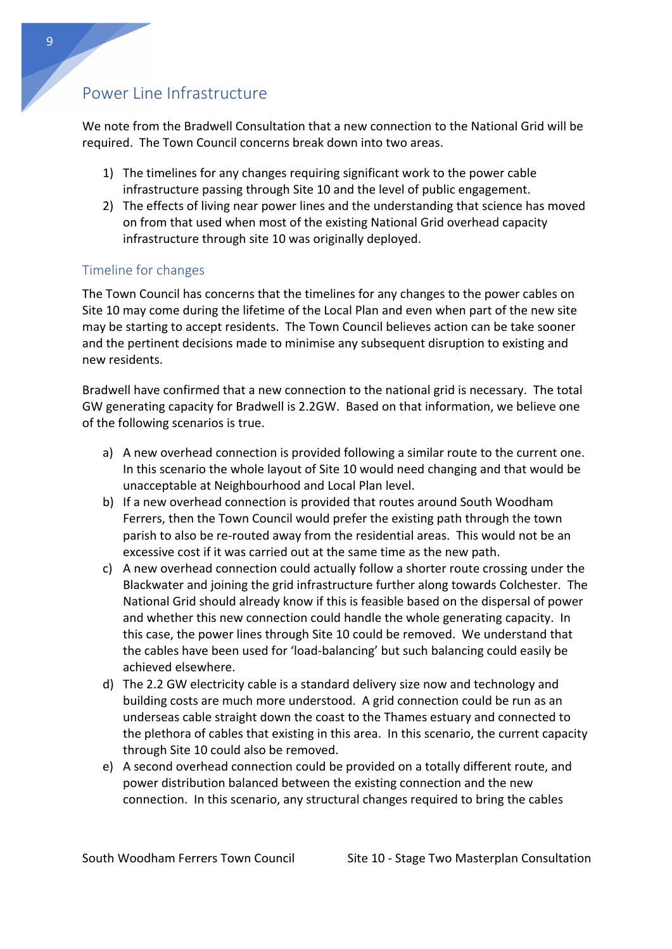# Power Line Infrastructure

We note from the Bradwell Consultation that a new connection to the National Grid will be required. The Town Council concerns break down into two areas.

- 1) The timelines for any changes requiring significant work to the power cable infrastructure passing through Site 10 and the level of public engagement.
- 2) The effects of living near power lines and the understanding that science has moved on from that used when most of the existing National Grid overhead capacity infrastructure through site 10 was originally deployed.

## Timeline for changes

The Town Council has concerns that the timelines for any changes to the power cables on Site 10 may come during the lifetime of the Local Plan and even when part of the new site may be starting to accept residents. The Town Council believes action can be take sooner and the pertinent decisions made to minimise any subsequent disruption to existing and new residents.

Bradwell have confirmed that a new connection to the national grid is necessary. The total GW generating capacity for Bradwell is 2.2GW. Based on that information, we believe one of the following scenarios is true.

- a) A new overhead connection is provided following a similar route to the current one. In this scenario the whole layout of Site 10 would need changing and that would be unacceptable at Neighbourhood and Local Plan level.
- b) If a new overhead connection is provided that routes around South Woodham Ferrers, then the Town Council would prefer the existing path through the town parish to also be re-routed away from the residential areas. This would not be an excessive cost if it was carried out at the same time as the new path.
- c) A new overhead connection could actually follow a shorter route crossing under the Blackwater and joining the grid infrastructure further along towards Colchester. The National Grid should already know if this is feasible based on the dispersal of power and whether this new connection could handle the whole generating capacity. In this case, the power lines through Site 10 could be removed. We understand that the cables have been used for 'load-balancing' but such balancing could easily be achieved elsewhere.
- d) The 2.2 GW electricity cable is a standard delivery size now and technology and building costs are much more understood. A grid connection could be run as an underseas cable straight down the coast to the Thames estuary and connected to the plethora of cables that existing in this area. In this scenario, the current capacity through Site 10 could also be removed.
- e) A second overhead connection could be provided on a totally different route, and power distribution balanced between the existing connection and the new connection. In this scenario, any structural changes required to bring the cables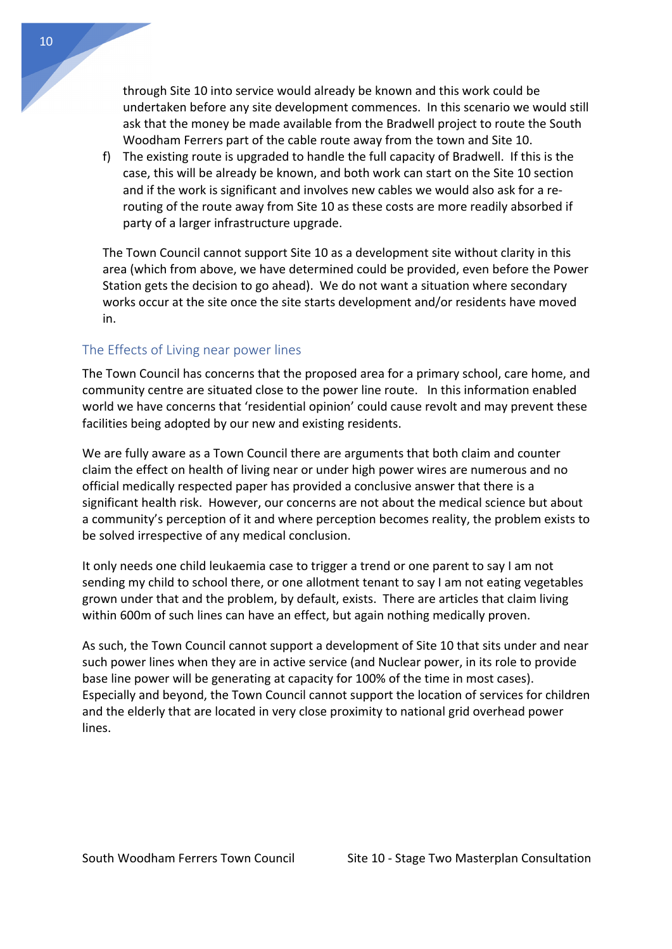through Site 10 into service would already be known and this work could be undertaken before any site development commences. In this scenario we would still ask that the money be made available from the Bradwell project to route the South Woodham Ferrers part of the cable route away from the town and Site 10.

f) The existing route is upgraded to handle the full capacity of Bradwell. If this is the case, this will be already be known, and both work can start on the Site 10 section and if the work is significant and involves new cables we would also ask for a rerouting of the route away from Site 10 as these costs are more readily absorbed if party of a larger infrastructure upgrade.

The Town Council cannot support Site 10 as a development site without clarity in this area (which from above, we have determined could be provided, even before the Power Station gets the decision to go ahead). We do not want a situation where secondary works occur at the site once the site starts development and/or residents have moved in.

## The Effects of Living near power lines

The Town Council has concerns that the proposed area for a primary school, care home, and community centre are situated close to the power line route. In this information enabled world we have concerns that 'residential opinion' could cause revolt and may prevent these facilities being adopted by our new and existing residents.

We are fully aware as a Town Council there are arguments that both claim and counter claim the effect on health of living near or under high power wires are numerous and no official medically respected paper has provided a conclusive answer that there is a significant health risk. However, our concerns are not about the medical science but about a community's perception of it and where perception becomes reality, the problem exists to be solved irrespective of any medical conclusion.

It only needs one child leukaemia case to trigger a trend or one parent to say I am not sending my child to school there, or one allotment tenant to say I am not eating vegetables grown under that and the problem, by default, exists. There are articles that claim living within 600m of such lines can have an effect, but again nothing medically proven.

As such, the Town Council cannot support a development of Site 10 that sits under and near such power lines when they are in active service (and Nuclear power, in its role to provide base line power will be generating at capacity for 100% of the time in most cases). Especially and beyond, the Town Council cannot support the location of services for children and the elderly that are located in very close proximity to national grid overhead power lines.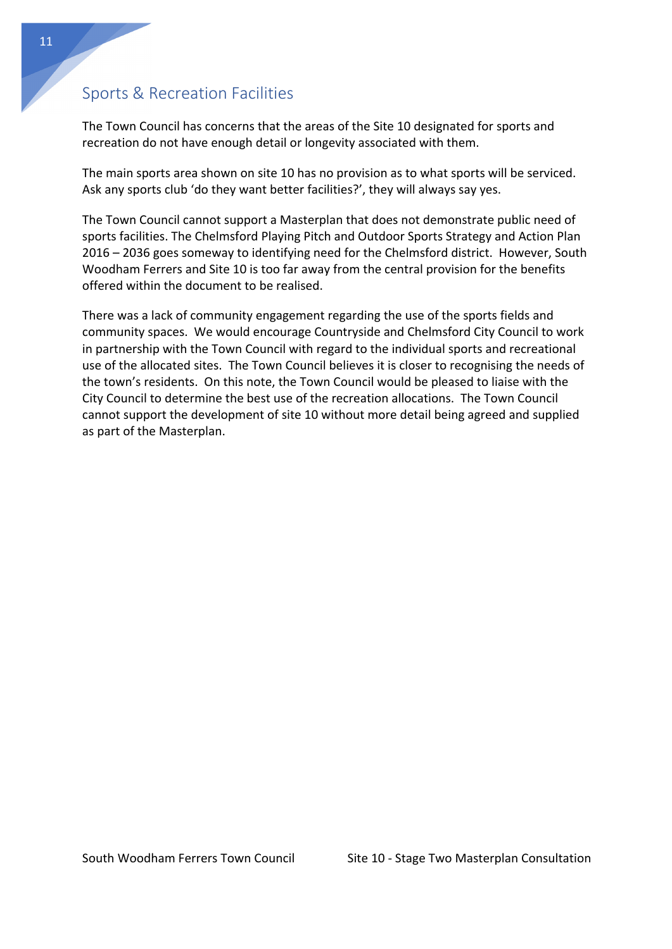# Sports & Recreation Facilities

The Town Council has concerns that the areas of the Site 10 designated for sports and recreation do not have enough detail or longevity associated with them.

The main sports area shown on site 10 has no provision as to what sports will be serviced. Ask any sports club 'do they want better facilities?', they will always say yes.

The Town Council cannot support a Masterplan that does not demonstrate public need of sports facilities. The Chelmsford Playing Pitch and Outdoor Sports Strategy and Action Plan 2016 – 2036 goes someway to identifying need for the Chelmsford district. However, South Woodham Ferrers and Site 10 is too far away from the central provision for the benefits offered within the document to be realised.

There was a lack of community engagement regarding the use of the sports fields and community spaces. We would encourage Countryside and Chelmsford City Council to work in partnership with the Town Council with regard to the individual sports and recreational use of the allocated sites. The Town Council believes it is closer to recognising the needs of the town's residents. On this note, the Town Council would be pleased to liaise with the City Council to determine the best use of the recreation allocations. The Town Council cannot support the development of site 10 without more detail being agreed and supplied as part of the Masterplan.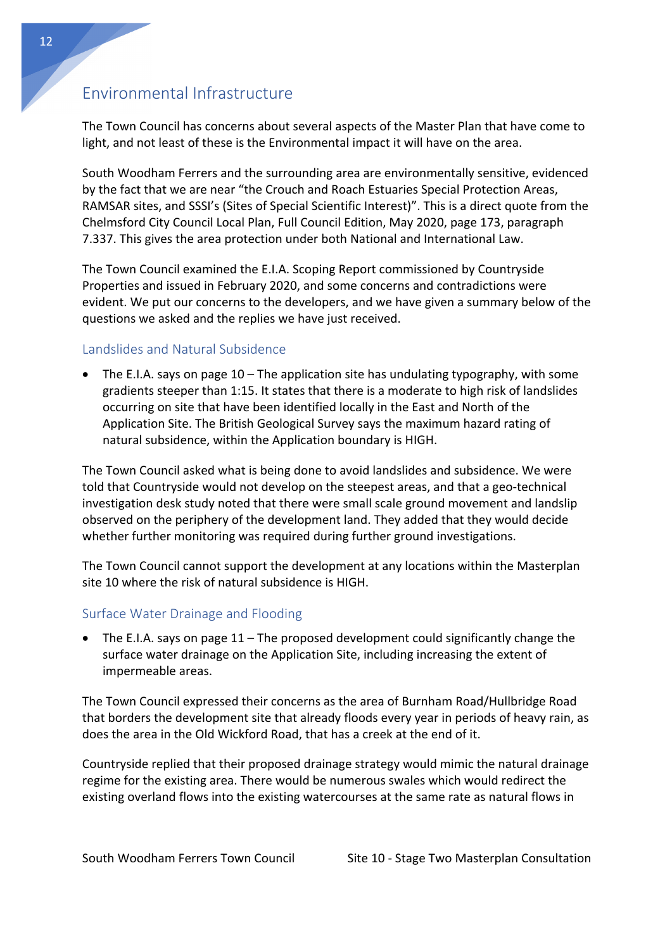# Environmental Infrastructure

The Town Council has concerns about several aspects of the Master Plan that have come to light, and not least of these is the Environmental impact it will have on the area.

South Woodham Ferrers and the surrounding area are environmentally sensitive, evidenced by the fact that we are near "the Crouch and Roach Estuaries Special Protection Areas, RAMSAR sites, and SSSI's (Sites of Special Scientific Interest)". This is a direct quote from the Chelmsford City Council Local Plan, Full Council Edition, May 2020, page 173, paragraph 7.337. This gives the area protection under both National and International Law.

The Town Council examined the E.I.A. Scoping Report commissioned by Countryside Properties and issued in February 2020, and some concerns and contradictions were evident. We put our concerns to the developers, and we have given a summary below of the questions we asked and the replies we have just received.

## Landslides and Natural Subsidence

• The E.I.A. says on page 10 – The application site has undulating typography, with some gradients steeper than 1:15. It states that there is a moderate to high risk of landslides occurring on site that have been identified locally in the East and North of the Application Site. The British Geological Survey says the maximum hazard rating of natural subsidence, within the Application boundary is HIGH.

The Town Council asked what is being done to avoid landslides and subsidence. We were told that Countryside would not develop on the steepest areas, and that a geo-technical investigation desk study noted that there were small scale ground movement and landslip observed on the periphery of the development land. They added that they would decide whether further monitoring was required during further ground investigations.

The Town Council cannot support the development at any locations within the Masterplan site 10 where the risk of natural subsidence is HIGH.

## Surface Water Drainage and Flooding

• The E.I.A. says on page  $11$  – The proposed development could significantly change the surface water drainage on the Application Site, including increasing the extent of impermeable areas.

The Town Council expressed their concerns as the area of Burnham Road/Hullbridge Road that borders the development site that already floods every year in periods of heavy rain, as does the area in the Old Wickford Road, that has a creek at the end of it.

Countryside replied that their proposed drainage strategy would mimic the natural drainage regime for the existing area. There would be numerous swales which would redirect the existing overland flows into the existing watercourses at the same rate as natural flows in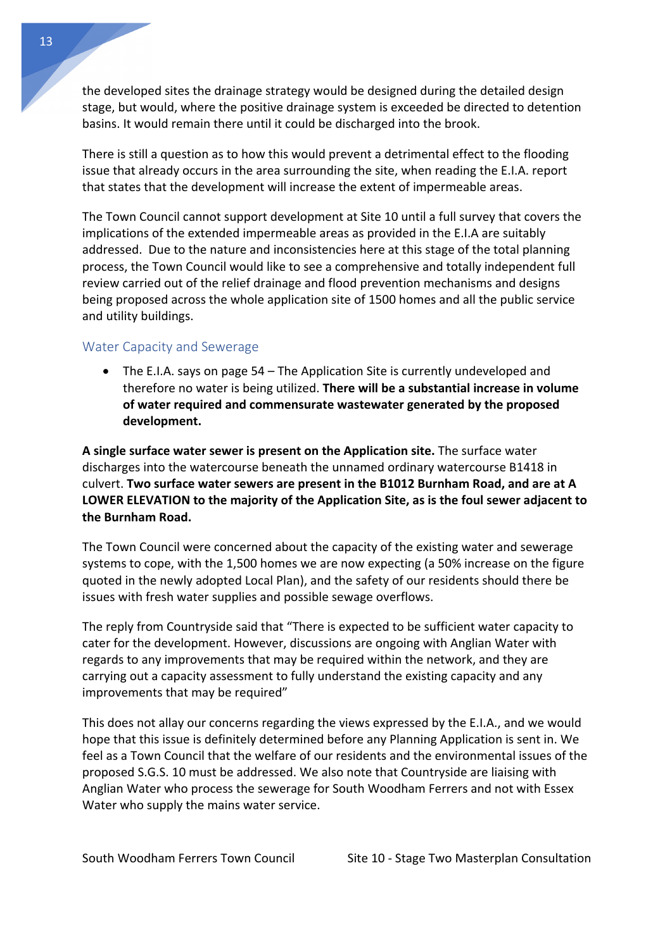the developed sites the drainage strategy would be designed during the detailed design stage, but would, where the positive drainage system is exceeded be directed to detention basins. It would remain there until it could be discharged into the brook.

There is still a question as to how this would prevent a detrimental effect to the flooding issue that already occurs in the area surrounding the site, when reading the E.I.A. report that states that the development will increase the extent of impermeable areas.

The Town Council cannot support development at Site 10 until a full survey that covers the implications of the extended impermeable areas as provided in the E.I.A are suitably addressed. Due to the nature and inconsistencies here at this stage of the total planning process, the Town Council would like to see a comprehensive and totally independent full review carried out of the relief drainage and flood prevention mechanisms and designs being proposed across the whole application site of 1500 homes and all the public service and utility buildings.

### Water Capacity and Sewerage

• The E.I.A. says on page 54 – The Application Site is currently undeveloped and therefore no water is being utilized. **There will be a substantial increase in volume of water required and commensurate wastewater generated by the proposed development.**

**A single surface water sewer is present on the Application site.** The surface water discharges into the watercourse beneath the unnamed ordinary watercourse B1418 in culvert. **Two surface water sewers are present in the B1012 Burnham Road, and are at A LOWER ELEVATION to the majority of the Application Site, as is the foul sewer adjacent to the Burnham Road.**

The Town Council were concerned about the capacity of the existing water and sewerage systems to cope, with the 1,500 homes we are now expecting (a 50% increase on the figure quoted in the newly adopted Local Plan), and the safety of our residents should there be issues with fresh water supplies and possible sewage overflows.

The reply from Countryside said that "There is expected to be sufficient water capacity to cater for the development. However, discussions are ongoing with Anglian Water with regards to any improvements that may be required within the network, and they are carrying out a capacity assessment to fully understand the existing capacity and any improvements that may be required"

This does not allay our concerns regarding the views expressed by the E.I.A., and we would hope that this issue is definitely determined before any Planning Application is sent in. We feel as a Town Council that the welfare of our residents and the environmental issues of the proposed S.G.S. 10 must be addressed. We also note that Countryside are liaising with Anglian Water who process the sewerage for South Woodham Ferrers and not with Essex Water who supply the mains water service.